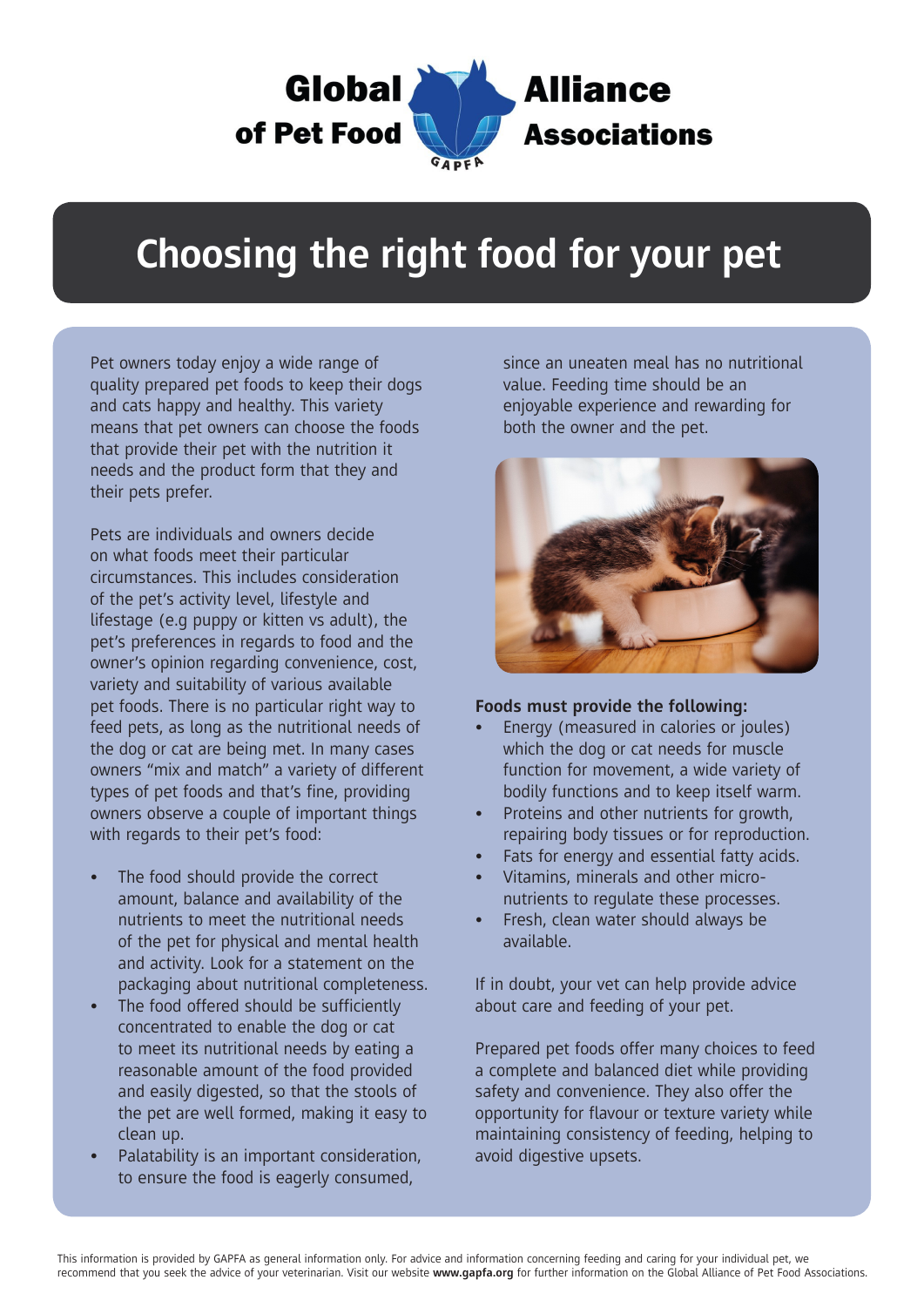

## **Choosing the right food for your pet**

Pet owners today enjoy a wide range of quality prepared pet foods to keep their dogs and cats happy and healthy. This variety means that pet owners can choose the foods that provide their pet with the nutrition it needs and the product form that they and their pets prefer.

Pets are individuals and owners decide on what foods meet their particular circumstances. This includes consideration of the pet's activity level, lifestyle and lifestage (e.g puppy or kitten vs adult), the pet's preferences in regards to food and the owner's opinion regarding convenience, cost, variety and suitability of various available pet foods. There is no particular right way to feed pets, as long as the nutritional needs of the dog or cat are being met. In many cases owners "mix and match" a variety of different types of pet foods and that's fine, providing owners observe a couple of important things with regards to their pet's food:

- The food should provide the correct amount, balance and availability of the nutrients to meet the nutritional needs of the pet for physical and mental health and activity. Look for a statement on the packaging about nutritional completeness.
- The food offered should be sufficiently concentrated to enable the dog or cat to meet its nutritional needs by eating a reasonable amount of the food provided and easily digested, so that the stools of the pet are well formed, making it easy to clean up.
- Palatability is an important consideration, to ensure the food is eagerly consumed,

since an uneaten meal has no nutritional value. Feeding time should be an enjoyable experience and rewarding for both the owner and the pet.



## **Foods must provide the following:**

- Energy (measured in calories or joules) which the dog or cat needs for muscle function for movement, a wide variety of bodily functions and to keep itself warm.
- Proteins and other nutrients for growth, repairing body tissues or for reproduction.
- Fats for energy and essential fatty acids.
- Vitamins, minerals and other micronutrients to regulate these processes.
- Fresh, clean water should always be available.

If in doubt, your vet can help provide advice about care and feeding of your pet.

Prepared pet foods offer many choices to feed a complete and balanced diet while providing safety and convenience. They also offer the opportunity for flavour or texture variety while maintaining consistency of feeding, helping to avoid digestive upsets.